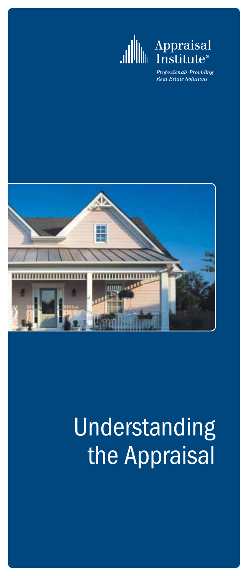

# Appraisal<br>\*Institute\*

Professionals Providing **Real Estate Solutions** 



# Understanding the Appraisal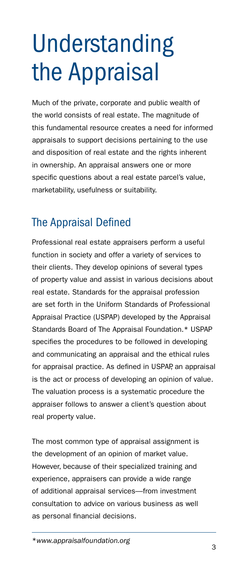# Understanding the Appraisal

Much of the private, corporate and public wealth of the world consists of real estate. The magnitude of this fundamental resource creates a need for informed appraisals to support decisions pertaining to the use and disposition of real estate and the rights inherent in ownership. An appraisal answers one or more specific questions about a real estate parcel's value, marketability, usefulness or suitability.

# The Appraisal Defined

Professional real estate appraisers perform a useful function in society and offer a variety of services to their clients. They develop opinions of several types of property value and assist in various decisions about real estate. Standards for the appraisal profession are set forth in the Uniform Standards of Professional Appraisal Practice (USPAP) developed by the Appraisal Standards Board of The Appraisal Foundation.\* USPAP specifies the procedures to be followed in developing and communicating an appraisal and the ethical rules for appraisal practice. As defined in USPAP, an appraisal is the act or process of developing an opinion of value. The valuation process is a systematic procedure the appraiser follows to answer a client's question about real property value.

The most common type of appraisal assignment is the development of an opinion of market value. However, because of their specialized training and experience, appraisers can provide a wide range of additional appraisal services—from investment consultation to advice on various business as well as personal financial decisions.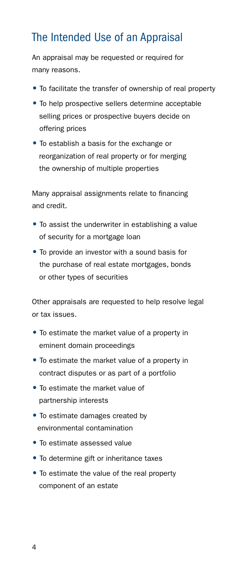# The Intended Use of an Appraisal

An appraisal may be requested or required for many reasons.

- To facilitate the transfer of ownership of real property
- To help prospective sellers determine acceptable selling prices or prospective buyers decide on offering prices
- To establish a basis for the exchange or reorganization of real property or for merging the ownership of multiple properties

Many appraisal assignments relate to financing and credit.

- To assist the underwriter in establishing a value of security for a mortgage loan
- To provide an investor with a sound basis for the purchase of real estate mortgages, bonds or other types of securities

Other appraisals are requested to help resolve legal or tax issues.

- To estimate the market value of a property in eminent domain proceedings
- To estimate the market value of a property in contract disputes or as part of a portfolio
- To estimate the market value of partnership interests
- To estimate damages created by environmental contamination
- To estimate assessed value
- To determine gift or inheritance taxes
- To estimate the value of the real property component of an estate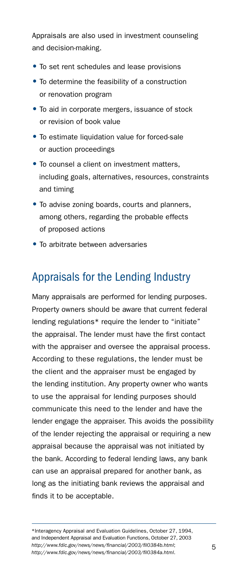Appraisals are also used in investment counseling and decision-making.

- To set rent schedules and lease provisions
- To determine the feasibility of a construction or renovation program
- To aid in corporate mergers, issuance of stock or revision of book value
- To estimate liquidation value for forced-sale or auction proceedings
- To counsel a client on investment matters, including goals, alternatives, resources, constraints and timing
- To advise zoning boards, courts and planners, among others, regarding the probable effects of proposed actions
- To arbitrate between adversaries

# Appraisals for the Lending Industry

Many appraisals are performed for lending purposes. Property owners should be aware that current federal lending regulations\* require the lender to "initiate" the appraisal. The lender must have the first contact with the appraiser and oversee the appraisal process. According to these regulations, the lender must be the client and the appraiser must be engaged by the lending institution. Any property owner who wants to use the appraisal for lending purposes should communicate this need to the lender and have the lender engage the appraiser. This avoids the possibility of the lender rejecting the appraisal or requiring a new appraisal because the appraisal was not initiated by the bank. According to federal lending laws, any bank can use an appraisal prepared for another bank, as long as the initiating bank reviews the appraisal and finds it to be acceptable.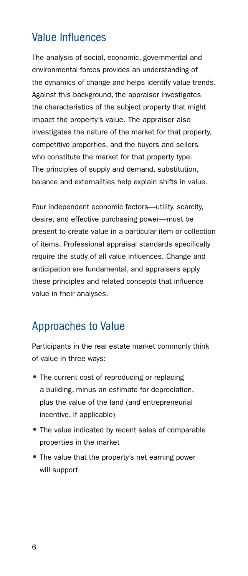# Value Influences

The analysis of social, economic, governmental and environmental forces provides an understanding of the dynamics of change and helps identify value trends. Against this background, the appraiser investigates the characteristics of the subject property that might impact the property's value. The appraiser also investigates the nature of the market for that property, competitive properties, and the buyers and sellers who constitute the market for that property type. The principles of supply and demand, substitution, balance and externalities help explain shifts in value.

Four independent economic factors—utility, scarcity, desire, and effective purchasing power—must be present to create value in a particular item or collection of items. Professional appraisal standards specifically require the study of all value influences. Change and anticipation are fundamental, and appraisers apply these principles and related concepts that influence value in their analyses.

#### Approaches to Value

Participants in the real estate market commonly think of value in three ways:

- The current cost of reproducing or replacing a building, minus an estimate for depreciation, plus the value of the land (and entrepreneurial incentive, if applicable)
- The value indicated by recent sales of comparable properties in the market
- The value that the property's net earning power will support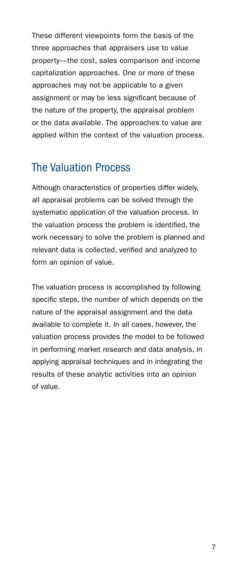These different viewpoints form the basis of the three approaches that appraisers use to value property—the cost, sales comparison and income capitalization approaches. One or more of these approaches may not be applicable to a given assignment or may be less significant because of the nature of the property, the appraisal problem or the data available. The approaches to value are applied within the context of the valuation process.

#### The Valuation Process

Although characteristics of properties differ widely, all appraisal problems can be solved through the systematic application of the valuation process. In the valuation process the problem is identified, the work necessary to solve the problem is planned and relevant data is collected, verified and analyzed to form an opinion of value.

The valuation process is accomplished by following specific steps, the number of which depends on the nature of the appraisal assignment and the data available to complete it. In all cases, however, the valuation process provides the model to be followed in performing market research and data analysis, in applying appraisal techniques and in integrating the results of these analytic activities into an opinion of value.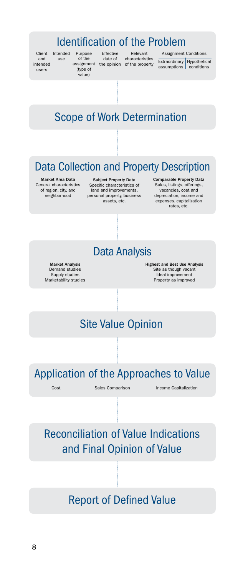#### Identification of the Problem

Client Intended and intended users

use Purpose of the assignment (type of

value) Effective date of the opinion

Relevant Assignmen<br>
characteristics Extraordinary<br>
of the property assumptions

Assignment Conditions

Hypothetical conditions

# Scope of Work Determination

# Data Collection and Property Description

Market Area Data General characteristics of region, city, and neighborhood

Subject Property Data Specific characteristics of land and improvements, personal property, business assets, etc.

Comparable Property Data Sales, listings, offerings, vacancies, cost and depreciation, income and expenses, capitalization rates, etc.

#### Data Analysis

Market Analysis Demand studies Supply studies Marketability studies Highest and Best Use Analysis Site as though vacant Ideal improvement Property as improved

#### Site Value Opinion

Application of the Approaches to Value

Cost Sales Comparison Income Capitalization

Reconciliation of Value Indications and Final Opinion of Value

#### Report of Defined Value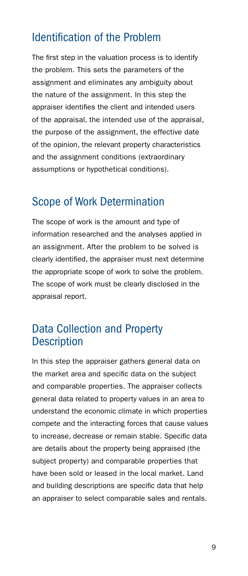#### Identification of the Problem

The first step in the valuation process is to identify the problem. This sets the parameters of the assignment and eliminates any ambiguity about the nature of the assignment. In this step the appraiser identifies the client and intended users of the appraisal, the intended use of the appraisal, the purpose of the assignment, the effective date of the opinion, the relevant property characteristics and the assignment conditions (extraordinary assumptions or hypothetical conditions).

#### Scope of Work Determination

The scope of work is the amount and type of information researched and the analyses applied in an assignment. After the problem to be solved is clearly identified, the appraiser must next determine the appropriate scope of work to solve the problem. The scope of work must be clearly disclosed in the appraisal report.

#### Data Collection and Property **Description**

In this step the appraiser gathers general data on the market area and specific data on the subject and comparable properties. The appraiser collects general data related to property values in an area to understand the economic climate in which properties compete and the interacting forces that cause values to increase, decrease or remain stable. Specific data are details about the property being appraised (the subject property) and comparable properties that have been sold or leased in the local market. Land and building descriptions are specific data that help an appraiser to select comparable sales and rentals.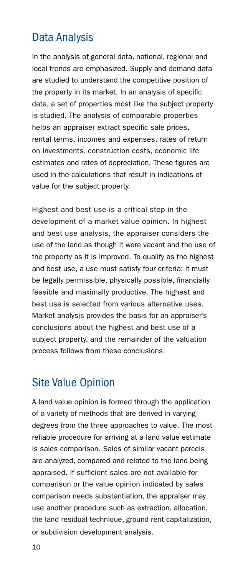# Data Analysis

In the analysis of general data, national, regional and local trends are emphasized. Supply and demand data are studied to understand the competitive position of the property in its market. In an analysis of specific data, a set of properties most like the subject property is studied. The analysis of comparable properties helps an appraiser extract specific sale prices, rental terms, incomes and expenses, rates of return on investments, construction costs, economic life estimates and rates of depreciation. These figures are used in the calculations that result in indications of value for the subject property.

Highest and best use is a critical step in the development of a market value opinion. In highest and best use analysis, the appraiser considers the use of the land as though it were vacant and the use of the property as it is improved. To qualify as the highest and best use, a use must satisfy four criteria: it must be legally permissible, physically possible, financially feasible and maximally productive. The highest and best use is selected from various alternative uses. Market analysis provides the basis for an appraiser's conclusions about the highest and best use of a subject property, and the remainder of the valuation process follows from these conclusions.

#### Site Value Opinion

A land value opinion is formed through the application of a variety of methods that are derived in varying degrees from the three approaches to value. The most reliable procedure for arriving at a land value estimate is sales comparison. Sales of similar vacant parcels are analyzed, compared and related to the land being appraised. If sufficient sales are not available for comparison or the value opinion indicated by sales comparison needs substantiation, the appraiser may use another procedure such as extraction, allocation, the land residual technique, ground rent capitalization, or subdivision development analysis.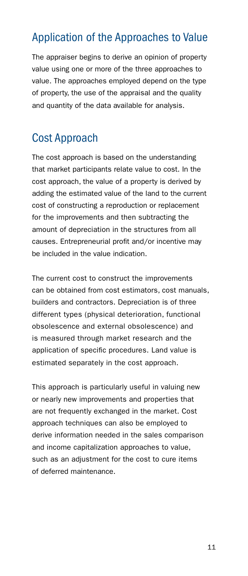# Application of the Approaches to Value

The appraiser begins to derive an opinion of property value using one or more of the three approaches to value. The approaches employed depend on the type of property, the use of the appraisal and the quality and quantity of the data available for analysis.

# Cost Approach

The cost approach is based on the understanding that market participants relate value to cost. In the cost approach, the value of a property is derived by adding the estimated value of the land to the current cost of constructing a reproduction or replacement for the improvements and then subtracting the amount of depreciation in the structures from all causes. Entrepreneurial profit and/or incentive may be included in the value indication.

The current cost to construct the improvements can be obtained from cost estimators, cost manuals, builders and contractors. Depreciation is of three different types (physical deterioration, functional obsolescence and external obsolescence) and is measured through market research and the application of specific procedures. Land value is estimated separately in the cost approach.

This approach is particularly useful in valuing new or nearly new improvements and properties that are not frequently exchanged in the market. Cost approach techniques can also be employed to derive information needed in the sales comparison and income capitalization approaches to value, such as an adjustment for the cost to cure items of deferred maintenance.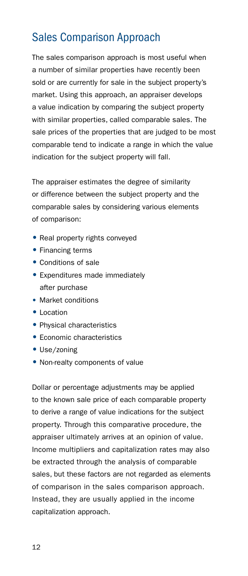# Sales Comparison Approach

The sales comparison approach is most useful when a number of similar properties have recently been sold or are currently for sale in the subject property's market. Using this approach, an appraiser develops a value indication by comparing the subject property with similar properties, called comparable sales. The sale prices of the properties that are judged to be most comparable tend to indicate a range in which the value indication for the subject property will fall.

The appraiser estimates the degree of similarity or difference between the subject property and the comparable sales by considering various elements of comparison:

- Real property rights conveyed
- Financing terms
- Conditions of sale
- Expenditures made immediately after purchase
- Market conditions
- Location
- Physical characteristics
- Economic characteristics
- Use/zoning
- Non-realty components of value

Dollar or percentage adjustments may be applied to the known sale price of each comparable property to derive a range of value indications for the subject property. Through this comparative procedure, the appraiser ultimately arrives at an opinion of value. Income multipliers and capitalization rates may also be extracted through the analysis of comparable sales, but these factors are not regarded as elements of comparison in the sales comparison approach. Instead, they are usually applied in the income capitalization approach.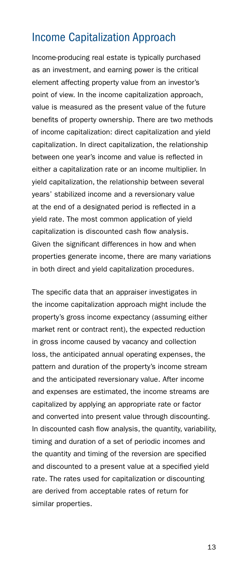### Income Capitalization Approach

Income-producing real estate is typically purchased as an investment, and earning power is the critical element affecting property value from an investor's point of view. In the income capitalization approach, value is measured as the present value of the future benefits of property ownership. There are two methods of income capitalization: direct capitalization and yield capitalization. In direct capitalization, the relationship between one year's income and value is reflected in either a capitalization rate or an income multiplier. In yield capitalization, the relationship between several years' stabilized income and a reversionary value at the end of a designated period is reflected in a yield rate. The most common application of yield capitalization is discounted cash flow analysis. Given the significant differences in how and when properties generate income, there are many variations in both direct and yield capitalization procedures.

The specific data that an appraiser investigates in the income capitalization approach might include the property's gross income expectancy (assuming either market rent or contract rent), the expected reduction in gross income caused by vacancy and collection loss, the anticipated annual operating expenses, the pattern and duration of the property's income stream and the anticipated reversionary value. After income and expenses are estimated, the income streams are capitalized by applying an appropriate rate or factor and converted into present value through discounting. In discounted cash flow analysis, the quantity, variability, timing and duration of a set of periodic incomes and the quantity and timing of the reversion are specified and discounted to a present value at a specified yield rate. The rates used for capitalization or discounting are derived from acceptable rates of return for similar properties.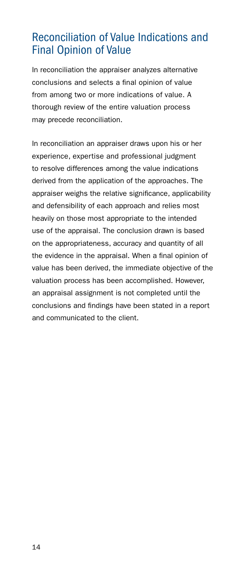# Reconciliation of Value Indications and Final Opinion of Value

In reconciliation the appraiser analyzes alternative conclusions and selects a final opinion of value from among two or more indications of value. A thorough review of the entire valuation process may precede reconciliation.

In reconciliation an appraiser draws upon his or her experience, expertise and professional judgment to resolve differences among the value indications derived from the application of the approaches. The appraiser weighs the relative significance, applicability and defensibility of each approach and relies most heavily on those most appropriate to the intended use of the appraisal. The conclusion drawn is based on the appropriateness, accuracy and quantity of all the evidence in the appraisal. When a final opinion of value has been derived, the immediate objective of the valuation process has been accomplished. However, an appraisal assignment is not completed until the conclusions and findings have been stated in a report and communicated to the client.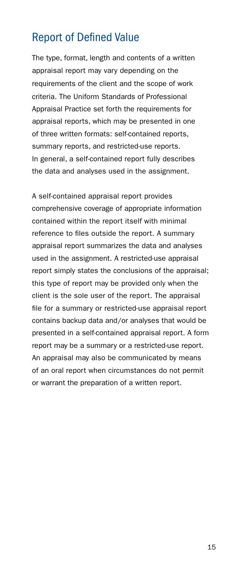#### Report of Defined Value

The type, format, length and contents of a written appraisal report may vary depending on the requirements of the client and the scope of work criteria. The Uniform Standards of Professional Appraisal Practice set forth the requirements for appraisal reports, which may be presented in one of three written formats: self-contained reports, summary reports, and restricted-use reports. In general, a self-contained report fully describes the data and analyses used in the assignment.

A self-contained appraisal report provides comprehensive coverage of appropriate information contained within the report itself with minimal reference to files outside the report. A summary appraisal report summarizes the data and analyses used in the assignment. A restricted-use appraisal report simply states the conclusions of the appraisal; this type of report may be provided only when the client is the sole user of the report. The appraisal file for a summary or restricted-use appraisal report contains backup data and/or analyses that would be presented in a self-contained appraisal report. A form report may be a summary or a restricted-use report. An appraisal may also be communicated by means of an oral report when circumstances do not permit or warrant the preparation of a written report.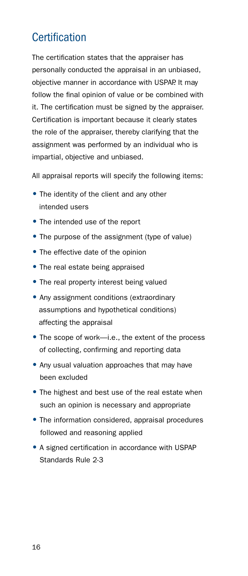# **Certification**

The certification states that the appraiser has personally conducted the appraisal in an unbiased, objective manner in accordance with USPAP. It may follow the final opinion of value or be combined with it. The certification must be signed by the appraiser. Certification is important because it clearly states the role of the appraiser, thereby clarifying that the assignment was performed by an individual who is impartial, objective and unbiased.

All appraisal reports will specify the following items:

- The identity of the client and any other intended users
- The intended use of the report
- The purpose of the assignment (type of value)
- The effective date of the opinion
- The real estate being appraised
- The real property interest being valued
- Any assignment conditions (extraordinary assumptions and hypothetical conditions) affecting the appraisal
- The scope of work—i.e., the extent of the process of collecting, confirming and reporting data
- Any usual valuation approaches that may have been excluded
- The highest and best use of the real estate when such an opinion is necessary and appropriate
- The information considered, appraisal procedures followed and reasoning applied
- A signed certification in accordance with USPAP Standards Rule 2-3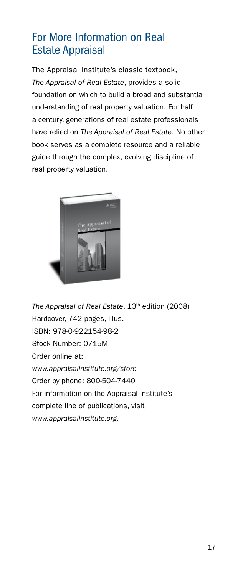# For More Information on Real Estate Appraisal

The Appraisal Institute's classic textbook, *The Appraisal of Real Estate*, provides a solid foundation on which to build a broad and substantial understanding of real property valuation. For half a century, generations of real estate professionals have relied on *The Appraisal of Real Estate*. No other book serves as a complete resource and a reliable guide through the complex, evolving discipline of real property valuation.



*The Appraisal of Real Estate*, 13th edition (2008) Hardcover, 742 pages, illus. ISBN: 978-0-922154-98-2 Stock Number: 0715M Order online at: *www.appraisalinstitute.org/store* Order by phone: 800-504-7440 For information on the Appraisal Institute's complete line of publications, visit *www.appraisalinstitute.org.*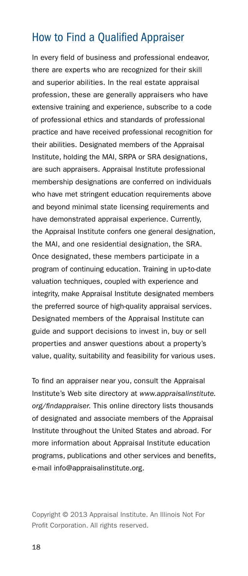### How to Find a Qualified Appraiser

In every field of business and professional endeavor, there are experts who are recognized for their skill and superior abilities. In the real estate appraisal profession, these are generally appraisers who have extensive training and experience, subscribe to a code of professional ethics and standards of professional practice and have received professional recognition for their abilities. Designated members of the Appraisal Institute, holding the MAI, SRPA or SRA designations, are such appraisers. Appraisal Institute professional membership designations are conferred on individuals who have met stringent education requirements above and beyond minimal state licensing requirements and have demonstrated appraisal experience. Currently, the Appraisal Institute confers one general designation, the MAI, and one residential designation, the SRA. Once designated, these members participate in a program of continuing education. Training in up-to-date valuation techniques, coupled with experience and integrity, make Appraisal Institute designated members the preferred source of high-quality appraisal services. Designated members of the Appraisal Institute can guide and support decisions to invest in, buy or sell properties and answer questions about a property's value, quality, suitability and feasibility for various uses.

To find an appraiser near you, consult the Appraisal Institute's Web site directory at *www.appraisalinstitute. org/findappraiser.* This online directory lists thousands of designated and associate members of the Appraisal Institute throughout the United States and abroad. For more information about Appraisal Institute education programs, publications and other services and benefits, e-mail info@appraisalinstitute.org.

Copyright © 2013 Appraisal Institute. An Illinois Not For Profit Corporation. All rights reserved.